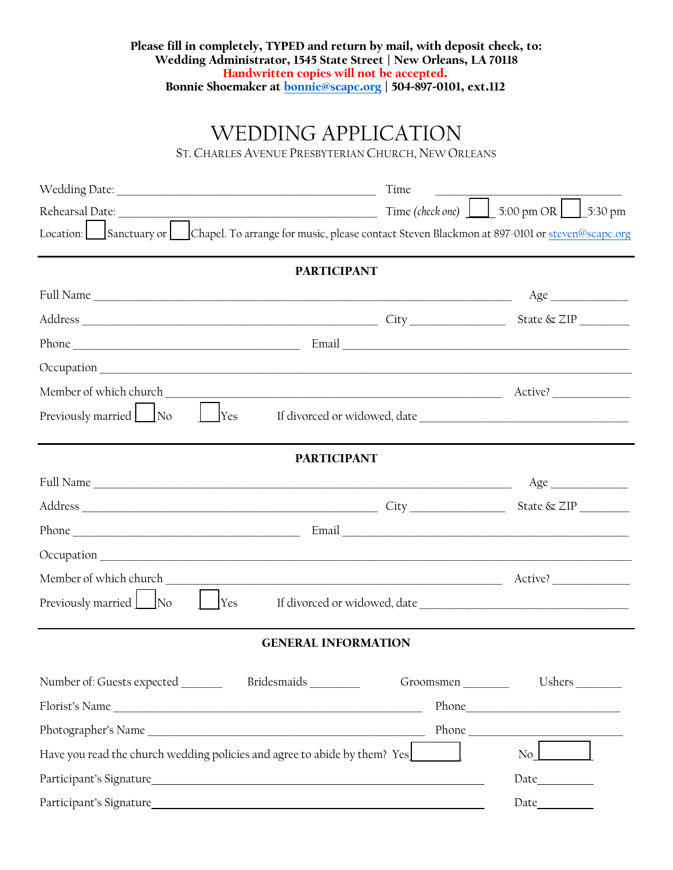## Please fill in completely, TYPED and return by mail, with deposit check, to: Wedding Administrator, 1545 State Street | New Orleans, LA 70118 Handwritten copies will not be accepted. Bonnie Shoemaker at [bonnie@scapc.o](mailto:bonnie@scapc.og)rg | 504-897-0101, ext.112

## WEDDING APPLICATION

ST.CHARLES AVENUE PRESBYTERIAN CHURCH, NEW ORLEANS

|                                                                                                                                                                                                                                | Time                       |                                                                                                                                                                    |
|--------------------------------------------------------------------------------------------------------------------------------------------------------------------------------------------------------------------------------|----------------------------|--------------------------------------------------------------------------------------------------------------------------------------------------------------------|
| Rehearsal Date: Note and the Contract of the Contract of the Contract of the Contract of the Contract of the Contract of the Contract of the Contract of the Contract of the Contract of the Contract of the Contract of the C |                            | Time (check one) $\boxed{\phantom{0}\phantom{\sqrt{0}}\phantom{\sqrt{0}}\phantom{\sqrt{0}}\,}$ 5:00 pm OR $\boxed{\phantom{\sqrt{0}}\phantom{\sqrt{0}}\,}$ 5:30 pm |
| Location: Sanctuary or Chapel. To arrange for music, please contact Steven Blackmon at 897-0101 or steven@scapc.org                                                                                                            |                            |                                                                                                                                                                    |
|                                                                                                                                                                                                                                | <b>PARTICIPANT</b>         |                                                                                                                                                                    |
|                                                                                                                                                                                                                                |                            | Age                                                                                                                                                                |
|                                                                                                                                                                                                                                |                            |                                                                                                                                                                    |
|                                                                                                                                                                                                                                |                            |                                                                                                                                                                    |
|                                                                                                                                                                                                                                |                            |                                                                                                                                                                    |
| Member of which church                                                                                                                                                                                                         |                            |                                                                                                                                                                    |
| Previously married No<br><b>Yes</b>                                                                                                                                                                                            |                            |                                                                                                                                                                    |
|                                                                                                                                                                                                                                | <b>PARTICIPANT</b>         |                                                                                                                                                                    |
|                                                                                                                                                                                                                                |                            |                                                                                                                                                                    |
|                                                                                                                                                                                                                                |                            |                                                                                                                                                                    |
|                                                                                                                                                                                                                                |                            |                                                                                                                                                                    |
| $Oc$ cupation $\overline{\phantom{a}}$                                                                                                                                                                                         |                            |                                                                                                                                                                    |
| Member of which church                                                                                                                                                                                                         |                            |                                                                                                                                                                    |
| Previously married No<br>Yes                                                                                                                                                                                                   |                            |                                                                                                                                                                    |
|                                                                                                                                                                                                                                | <b>GENERAL INFORMATION</b> |                                                                                                                                                                    |
| Number of: Guests expected<br>Bridesmaids                                                                                                                                                                                      |                            |                                                                                                                                                                    |
|                                                                                                                                                                                                                                |                            |                                                                                                                                                                    |
|                                                                                                                                                                                                                                |                            | Phone                                                                                                                                                              |
| Have you read the church wedding policies and agree to abide by them? Yes                                                                                                                                                      |                            | $\overline{N_{0}}$                                                                                                                                                 |
|                                                                                                                                                                                                                                |                            | Date                                                                                                                                                               |
| Participant's Signature                                                                                                                                                                                                        |                            |                                                                                                                                                                    |